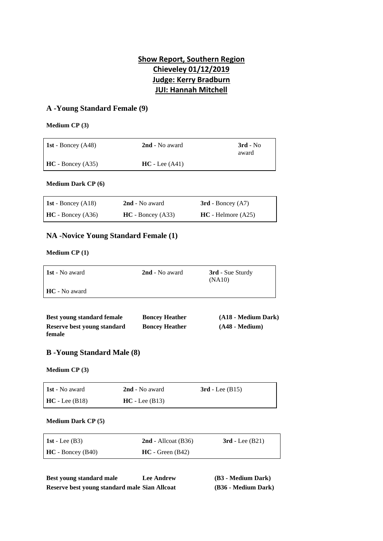# **Show Report, Southern Region Chieveley 01/12/2019 Judge: Kerry Bradburn JUI: Hannah Mitchell**

## **A -Young Standard Female (9)**

#### **Medium CP (3)**

| <b>1st</b> - Boncey $(A48)$ | 2nd - No award   | $3rd - No$<br>award |
|-----------------------------|------------------|---------------------|
| $HC - Boncev (A35)$         | $HC - Lee (A41)$ |                     |

#### **Medium Dark CP (6)**

| <b>1st</b> - Boncey $(A18)$ | 2nd - No award      | $3rd$ - Boncey $(A7)$ |
|-----------------------------|---------------------|-----------------------|
| $HC - Boncey (A36)$         | $HC - Boncev (A33)$ | $HC - Helmore (A25)$  |

## **NA -Novice Young Standard Female (1)**

#### **Medium CP (1)**

| <b>1st</b> - No award | <b>2nd</b> - No award | <b>3rd</b> - Sue Sturdy<br>(NA10) |
|-----------------------|-----------------------|-----------------------------------|
| <b>HC</b> - No award  |                       |                                   |

| Best young standard female  | <b>Boncey Heather</b> | (A18 - Medium Dark) |
|-----------------------------|-----------------------|---------------------|
| Reserve best young standard | <b>Boncey Heather</b> | $(A48 - Medium)$    |
| female                      |                       |                     |

## **B -Young Standard Male (8)**

#### **Medium CP (3)**

| <b>1st</b> - No award | <b>2nd</b> - No award | $3rd$ - Lee (B15) |
|-----------------------|-----------------------|-------------------|
| $HC - Lee (B18)$      | $HC - Lee (B13)$      |                   |

#### **Medium Dark CP (5)**

| 1st - Lee $(B3)$   | $2nd$ - Allcoat (B36) | $3rd$ - Lee $(B21)$ |
|--------------------|-----------------------|---------------------|
| $HC - Boncey(B40)$ | $HC - Green(B42)$     |                     |

| Best young standard male                      | <b>Lee Andrew</b> | (B3 - Medium Dark)  |
|-----------------------------------------------|-------------------|---------------------|
| Reserve best young standard male Sian Allcoat |                   | (B36 - Medium Dark) |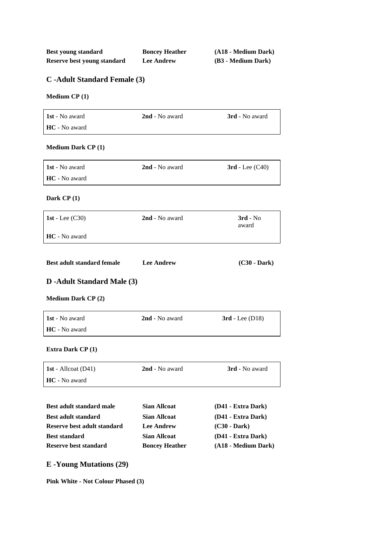| Best young standard         | <b>Boncey Heather</b> | (A18 - Medium Dark) |
|-----------------------------|-----------------------|---------------------|
| Reserve best young standard | <b>Lee Andrew</b>     | (B3 - Medium Dark)  |

# **C -Adult Standard Female (3)**

### **Medium CP (1)**

| <b>1st</b> - No award | <b>2nd</b> - No award | <b>3rd</b> - No award |
|-----------------------|-----------------------|-----------------------|
| <b>HC</b> - No award  |                       |                       |

### **Medium Dark CP (1)**

| <b>1st</b> - No award | 2nd - No award | $3rd$ - Lee $(C40)$ |
|-----------------------|----------------|---------------------|
| <b>HC</b> - No award  |                |                     |

### **Dark CP (1)**

| $\vert$ 1st - Lee (C30) | 2nd - No award | $3rd - No$<br>award |
|-------------------------|----------------|---------------------|
| <b>HC</b> - No award    |                |                     |

| <b>Best adult standard female</b> | <b>Lee Andrew</b> | $(C30 - Dark)$ |
|-----------------------------------|-------------------|----------------|
|-----------------------------------|-------------------|----------------|

# **D -Adult Standard Male (3)**

#### **Medium Dark CP (2)**

| <b>1st</b> - No award | 2nd - No award | $3rd$ - Lee (D18) |
|-----------------------|----------------|-------------------|
| <b>HC</b> - No award  |                |                   |

### **Extra Dark CP (1)**

| <b>1st</b> - Allcoat $(D41)$ | <b>2nd</b> - No award | <b>3rd</b> - No award |
|------------------------------|-----------------------|-----------------------|
| <b>HC</b> - No award         |                       |                       |

| <b>Best adult standard male</b> | <b>Sian Allcoat</b>   | (D41 - Extra Dark)  |
|---------------------------------|-----------------------|---------------------|
| <b>Best adult standard</b>      | <b>Sian Allcoat</b>   | (D41 - Extra Dark)  |
| Reserve best adult standard     | <b>Lee Andrew</b>     | $(C30 - Dark)$      |
| <b>Best standard</b>            | <b>Sian Allcoat</b>   | (D41 - Extra Dark)  |
| Reserve best standard           | <b>Boncey Heather</b> | (A18 - Medium Dark) |
|                                 |                       |                     |

# **E -Young Mutations (29)**

**Pink White - Not Colour Phased (3)**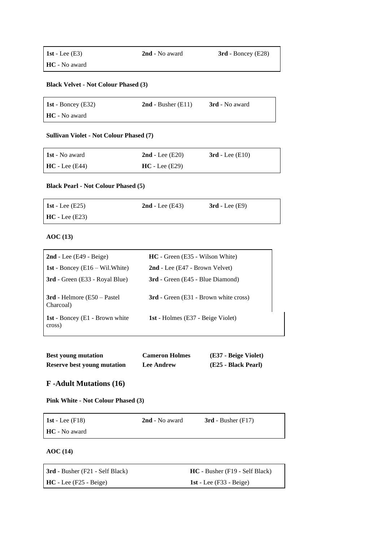#### **Black Velvet - Not Colour Phased (3)**

| 1st - Boncey $(E32)$ | $2nd$ - Busher (E11) | <b>3rd</b> - No award |
|----------------------|----------------------|-----------------------|
| <b>HC</b> - No award |                      |                       |

#### **Sullivan Violet - Not Colour Phased (7)**

| 1st - No award         | $2nd$ - Lee (E20) | $3rd$ - Lee (E10) |
|------------------------|-------------------|-------------------|
| $\vert$ HC - Lee (E44) | $HC - Lee (E29)$  |                   |

#### **Black Pearl - Not Colour Phased (5)**

| 1st - Lee $(E25)$ | $2nd$ - Lee (E43) | $3rd$ - Lee (E9) |
|-------------------|-------------------|------------------|
| $HC - Lee (E23)$  |                   |                  |

#### **AOC (13)**

| $2nd$ - Lee (E49 - Beige)                  | <b>HC</b> - Green (E35 - Wilson White)       |
|--------------------------------------------|----------------------------------------------|
| <b>1st</b> - Boncey $(E16 - Wil)$ . White  | 2nd - Lee (E47 - Brown Velvet)               |
| <b>3rd</b> - Green (E33 - Royal Blue)      | <b>3rd</b> - Green (E45 - Blue Diamond)      |
| $3rd$ - Helmore (E50 – Pastel<br>Charcoal) | <b>3rd</b> - Green (E31 - Brown white cross) |
| 1st - Boncey (E1 - Brown white<br>cross)   | <b>1st</b> - Holmes (E37 - Beige Violet)     |

| <b>Best young mutation</b>  | <b>Cameron Holmes</b> | (E37 - Beige Violet) |
|-----------------------------|-----------------------|----------------------|
| Reserve best young mutation | <b>Lee Andrew</b>     | (E25 - Black Pearl)  |

## **F -Adult Mutations (16)**

**Pink White - Not Colour Phased (3)**

| 1st - Lee $(F18)$    | 2nd - No award | $3rd$ - Busher (F17) |
|----------------------|----------------|----------------------|
| <b>HC</b> - No award |                |                      |

#### **AOC (14)**

| <b>3rd</b> - Busher (F21 - Self Black) | $HC - Busher$ (F19 - Self Black) |
|----------------------------------------|----------------------------------|
| $HC$ - Lee (F25 - Beige)               | 1st - Lee $(F33 - Beige)$        |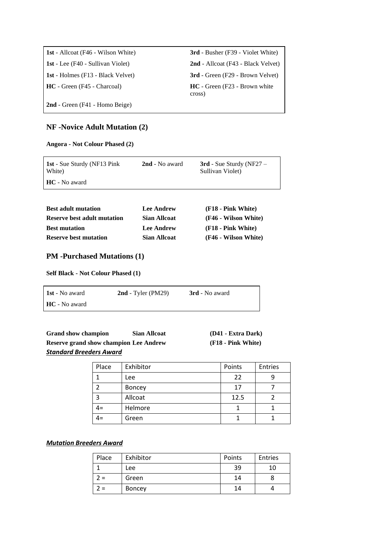| <b>1st</b> - Allcoat (F46 - Wilson White) | <b>3rd</b> - Busher (F39 - Violet White)   |
|-------------------------------------------|--------------------------------------------|
| <b>1st</b> - Lee (F40 - Sullivan Violet)  | 2nd - Allcoat (F43 - Black Velvet)         |
| <b>1st</b> - Holmes (F13 - Black Velvet)  | <b>3rd</b> - Green (F29 - Brown Velvet)    |
| <b>HC</b> - Green (F45 - Charcoal)        | $HC - Green (F23 - Brown white)$<br>cross) |
| 2nd - Green (F41 - Homo Beige)            |                                            |

## **NF -Novice Adult Mutation (2)**

**Angora - Not Colour Phased (2)**

| <b>1st</b> - Sue Sturdy (NF13 Pink)<br>White) | <b>2nd</b> - No award | $3rd$ - Sue Sturdy (NF27 –<br>Sullivan Violet) |
|-----------------------------------------------|-----------------------|------------------------------------------------|
| <b>HC</b> - No award                          |                       |                                                |

| <b>Best adult mutation</b>         | <b>Lee Andrew</b>   | (F18 - Pink White)   |
|------------------------------------|---------------------|----------------------|
| <b>Reserve best adult mutation</b> | Sian Allcoat        | (F46 - Wilson White) |
| <b>Best mutation</b>               | <b>Lee Andrew</b>   | (F18 - Pink White)   |
| <b>Reserve best mutation</b>       | <b>Sian Allcoat</b> | (F46 - Wilson White) |

## **PM -Purchased Mutations (1)**

**Self Black - Not Colour Phased (1)**

| <b>1st</b> - No award | $2nd$ - Tyler (PM29) | <b>3rd</b> - No award |
|-----------------------|----------------------|-----------------------|
| <b>HC</b> - No award  |                      |                       |

| <b>Grand show champion</b>                    | <b>Sian Allcoat</b> | (D41 - Extra Dark) |
|-----------------------------------------------|---------------------|--------------------|
| <b>Reserve grand show champion Lee Andrew</b> |                     | (F18 - Pink White) |
| <b>Standard Breeders Award</b>                |                     |                    |

| Place | Exhibitor | Points | <b>Entries</b> |
|-------|-----------|--------|----------------|
|       | Lee       | 22     |                |
|       | Boncey    | 17     |                |
| 3     | Allcoat   | 12.5   |                |
| 4=    | Helmore   |        |                |
| $4=$  | Green     |        |                |

## *Mutation Breeders Award*

| Place       | Exhibitor     | Points | Entries |
|-------------|---------------|--------|---------|
|             | Lee           | 39     | 10      |
| $\lambda =$ | Green         | 14     |         |
| $\prime$ =  | <b>Boncey</b> | 14     |         |